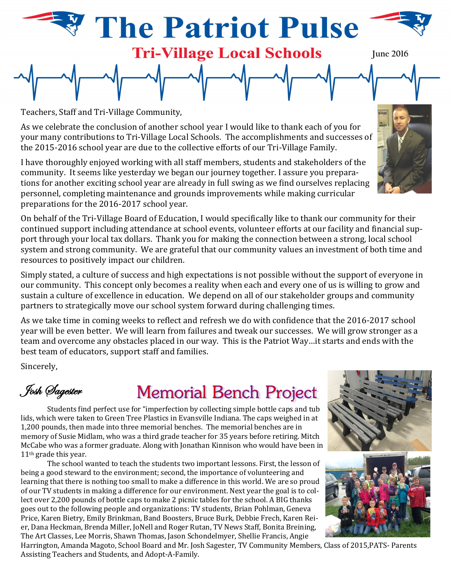# **Patriot Pulse Tri-Village Local Schools**

**We're on our way to building for tomorrow**

Teachers, Staff and Tri-Village Community,

As we celebrate the conclusion of another school year I would like to thank each of you for your many contributions to Tri-Village Local Schools. The accomplishments and successes of the 2015-2016 school year are due to the collective efforts of our Tri-Village Family.

I have thoroughly enjoyed working with all staff members, students and stakeholders of the community. It seems like yesterday we began our journey together. I assure you preparations for another exciting school year are already in full swing as we find ourselves replacing personnel, completing maintenance and grounds improvements while making curricular preparations for the 2016-2017 school year.

On behalf of the Tri-Village Board of Education, I would specifically like to thank our community for their continued support including attendance at school events, volunteer efforts at our facility and financial support through your local tax dollars. Thank you for making the connection between a strong, local school system and strong community. We are grateful that our community values an investment of both time and resources to positively impact our children.

Simply stated, a culture of success and high expectations is not possible without the support of everyone in our community. This concept only becomes a reality when each and every one of us is willing to grow and sustain a culture of excellence in education. We depend on all of our stakeholder groups and community partners to strategically move our school system forward during challenging times.

As we take time in coming weeks to reflect and refresh we do with confidence that the 2016-2017 school year will be even better. We will learn from failures and tweak our successes. We will grow stronger as a team and overcome any obstacles placed in our way. This is the Patriot Way…it starts and ends with the best team of educators, support staff and families.

Sincerely,

Josh Sagester

## **Memorial Bench Project**

Students find perfect use for "imperfection by collecting simple bottle caps and tub lids, which were taken to Green Tree Plastics in Evansville Indiana. The caps weighed in at 1,200 pounds, then made into three memorial benches. The memorial benches are in memory of Susie Midlam, who was a third grade teacher for 35 years before retiring. Mitch McCabe who was a former graduate. Along with Jonathan Kinnison who would have been in 11th grade this year.

The school wanted to teach the students two important lessons. First, the lesson of being a good steward to the environment; second, the importance of volunteering and learning that there is nothing too small to make a difference in this world. We are so proud of our TV students in making a difference for our environment. Next year the goal is to collect over 2,200 pounds of bottle caps to make 2 picnic tables for the school. A BIG thanks goes out to the following people and organizations: TV students, Brian Pohlman, Geneva Price, Karen Bietry, Emily Brinkman, Band Boosters, Bruce Burk, Debbie Frech, Karen Reier, Dana Heckman, Brenda Miller, JoNell and Roger Rutan, TV News Staff, Bonita Breining, The Art Classes, Lee Morris, Shawn Thomas, Jason Schondelmyer, Shellie Francis, Angie

Harrington, Amanda Magoto, School Board and Mr. Josh Sagester, TV Community Members, Class of 2015,PATS- Parents Assisting Teachers and Students, and Adopt-A-Family.







**June 2016**